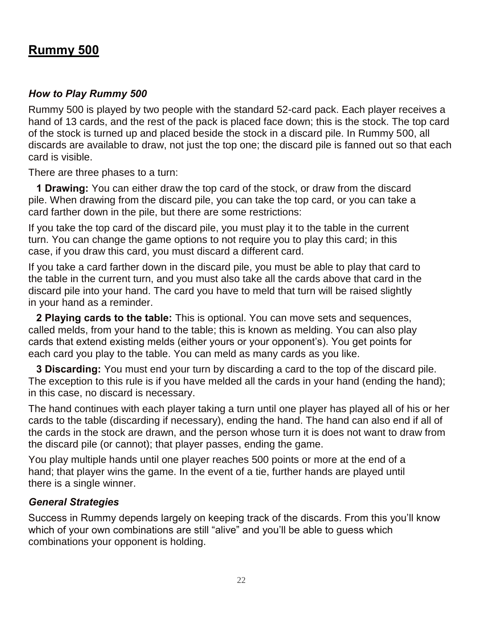## **Rummy 500**

## *How to Play Rummy 500*

Rummy 500 is played by two people with the standard 52-card pack. Each player receives a hand of 13 cards, and the rest of the pack is placed face down; this is the stock. The top card of the stock is turned up and placed beside the stock in a discard pile. In Rummy 500, all discards are available to draw, not just the top one; the discard pile is fanned out so that each card is visible.

There are three phases to a turn:

**1 Drawing:** You can either draw the top card of the stock, or draw from the discard pile. When drawing from the discard pile, you can take the top card, or you can take a card farther down in the pile, but there are some restrictions:

If you take the top card of the discard pile, you must play it to the table in the current turn. You can change the game options to not require you to play this card; in this case, if you draw this card, you must discard a different card.

If you take a card farther down in the discard pile, you must be able to play that card to the table in the current turn, and you must also take all the cards above that card in the discard pile into your hand. The card you have to meld that turn will be raised slightly in your hand as a reminder.

**2 Playing cards to the table:** This is optional. You can move sets and sequences, called melds, from your hand to the table; this is known as melding. You can also play cards that extend existing melds (either yours or your opponent's). You get points for each card you play to the table. You can meld as many cards as you like.

**3 Discarding:** You must end your turn by discarding a card to the top of the discard pile. The exception to this rule is if you have melded all the cards in your hand (ending the hand); in this case, no discard is necessary.

The hand continues with each player taking a turn until one player has played all of his or her cards to the table (discarding if necessary), ending the hand. The hand can also end if all of the cards in the stock are drawn, and the person whose turn it is does not want to draw from the discard pile (or cannot); that player passes, ending the game.

You play multiple hands until one player reaches 500 points or more at the end of a hand; that player wins the game. In the event of a tie, further hands are played until there is a single winner.

## *General Strategies*

Success in Rummy depends largely on keeping track of the discards. From this you'll know which of your own combinations are still "alive" and you'll be able to guess which combinations your opponent is holding.